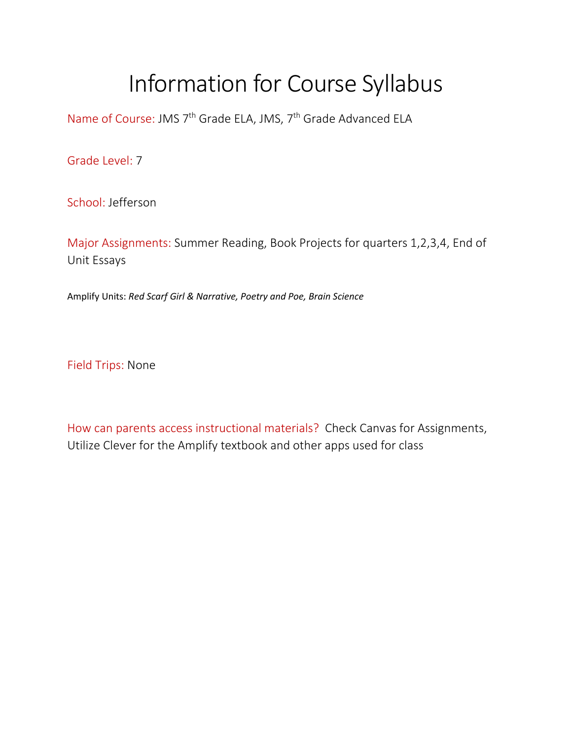## Information for Course Syllabus

Name of Course: JMS 7<sup>th</sup> Grade ELA, JMS, 7<sup>th</sup> Grade Advanced ELA

Grade Level: 7

School: Jefferson

Major Assignments: Summer Reading, Book Projects for quarters 1,2,3,4, End of Unit Essays

Amplify Units: *Red Scarf Girl & Narrative, Poetry and Poe, Brain Science*

Field Trips: None

How can parents access instructional materials? Check Canvas for Assignments, Utilize Clever for the Amplify textbook and other apps used for class